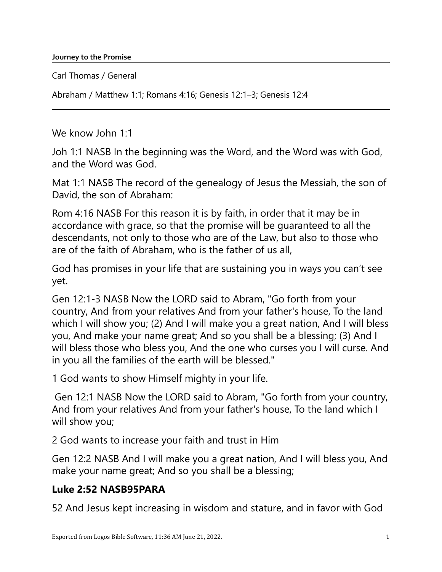Carl Thomas / General

Abraham / Matthew 1:1; Romans 4:16; Genesis 12:1–3; Genesis 12:4

We know John 1:1

Joh 1:1 NASB In the beginning was the Word, and the Word was with God, and the Word was God.

Mat 1:1 NASB The record of the genealogy of Jesus the Messiah, the son of David, the son of Abraham:

Rom 4:16 NASB For this reason it is by faith, in order that it may be in accordance with grace, so that the promise will be guaranteed to all the descendants, not only to those who are of the Law, but also to those who are of the faith of Abraham, who is the father of us all,

God has promises in your life that are sustaining you in ways you can't see yet.

Gen 12:1-3 NASB Now the LORD said to Abram, "Go forth from your country, And from your relatives And from your father's house, To the land which I will show you; (2) And I will make you a great nation, And I will bless you, And make your name great; And so you shall be a blessing; (3) And I will bless those who bless you, And the one who curses you I will curse. And in you all the families of the earth will be blessed."

1 God wants to show Himself mighty in your life.

Gen 12:1 NASB Now the LORD said to Abram, "Go forth from your country, And from your relatives And from your father's house, To the land which I will show you;

2 God wants to increase your faith and trust in Him

Gen 12:2 NASB And I will make you a great nation, And I will bless you, And make your name great; And so you shall be a blessing;

## Luke 2:52 NASB95PARA

52 And Jesus kept increasing in wisdom and stature, and in favor with God